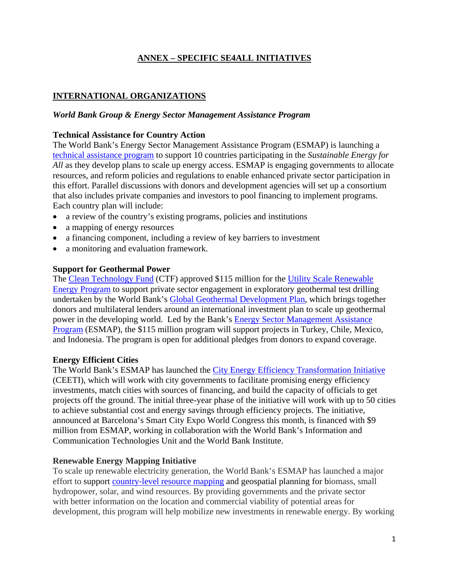# **ANNEX – SPECIFIC [SE4ALL I](http://www.se4all.org)NITIATIVES**

## **INTERNATIONAL ORGANIZATIONS**

#### *World Bank Group & Energy Sector Management Assistance Program*

#### **Technical Assistance for Country Action**

The World Bank's Energy Sector Management Assistance Program (ESMAP) is launching a [technical assistance program](https://www.esmap.org/node/2747) to support 10 countries participating in the *Sustainable Energy for All* as they develop plans to scale up energy access. ESMAP is engaging governments to allocate resources, and reform policies and regulations to enable enhanced private sector participation in this effort. Parallel discussions with donors and development agencies will set up a consortium that also includes private companies and investors to pool financing to implement programs. Each country plan will include:

- a review of the country's existing programs, policies and institutions
- a mapping of energy resources
- a financing component, including a review of key barriers to investment
- a monitoring and evaluation framework.

### **Support for Geothermal Power**

The [Clean Technology Fund](https://www.climateinvestmentfunds.org/cif/node/2) (CTF) approved \$115 million for the [Utility Scale Renewable](https://www.climateinvestmentfunds.org/cif/sites/climateinvestmentfunds.org/files/Summary_of_Co_Chairs_CTF_TFC_October_2013_final.pdf)  [Energy Program](https://www.climateinvestmentfunds.org/cif/sites/climateinvestmentfunds.org/files/Summary_of_Co_Chairs_CTF_TFC_October_2013_final.pdf) to support private sector engagement in exploratory geothermal test drilling undertaken by the World Bank's [Global Geothermal Development Plan,](http://www.worldbank.org/en/news/feature/2013/03/06/full-steam-ahead-world-bank-seeks-global-push-for-geothermal-energy-revolution) which brings together donors and multilateral lenders around an international investment plan to scale up geothermal power in the developing world. Led by the Bank's [Energy Sector Management Assistance](http://www.esmap.org/)  [Program](http://www.esmap.org/) (ESMAP), the \$115 million program will support projects in Turkey, Chile, Mexico, and Indonesia. The program is open for additional pledges from donors to expand coverage.

## **Energy Efficient Cities**

The World Bank's ESMAP has launched the [City Energy Efficiency Transformation Initiative](http://www.worldbank.org/en/news/feature/2013/11/19/energy-efficiency-the-fuel-for-low-carbon-urban-development) (CEETI), which will work with city governments to facilitate promising energy efficiency investments, match cities with sources of financing, and build the capacity of officials to get projects off the ground. The initial three-year phase of the initiative will work with up to 50 cities to achieve substantial cost and energy savings through efficiency projects. The initiative, announced at Barcelona's Smart City Expo World Congress this month, is financed with \$9 million from ESMAP, working in collaboration with the World Bank's Information and Communication Technologies Unit and the World Bank Institute.

## **Renewable Energy Mapping Initiative**

To scale up renewable electricity generation, the World Bank's ESMAP has launched a major effort to support country-[level resource mapping](http://www.esmap.org/RE_Mapping) and geospatial planning for biomass, small hydropower, solar, and wind resources. By providing governments and the private sector with better information on the location and commercial viability of potential areas for development, this program will help mobilize new investments in renewable energy. By working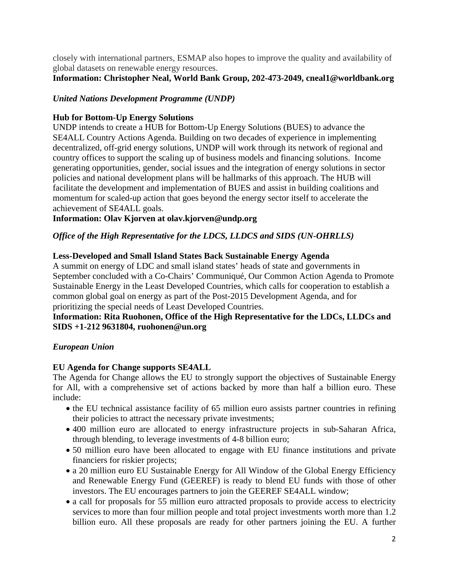closely with international partners, ESMAP also hopes to improve the quality and availability of global datasets on renewable energy resources.

# **Information: Christopher Neal, World Bank Group, 202-473-2049, [cneal1@worldbank.org](mailto:cneal1@worldbank.org)**

# *United Nations Development Programme (UNDP)*

## **Hub for Bottom-Up Energy Solutions**

UNDP intends to create a HUB for Bottom-Up Energy Solutions (BUES) to advance the SE4ALL Country Actions Agenda. Building on two decades of experience in implementing decentralized, off-grid energy solutions, UNDP will work through its network of regional and country offices to support the scaling up of business models and financing solutions. Income generating opportunities, gender, social issues and the integration of energy solutions in sector policies and national development plans will be hallmarks of this approach. The HUB will facilitate the development and implementation of BUES and assist in building coalitions and momentum for scaled-up action that goes beyond the energy sector itself to accelerate the achievement of SE4ALL goals.

## **Information: Olav Kjorven at [olav.kjorven@undp.org](mailto:olav.kjorven@undp.org)**

# *Office of the High Representative for the LDCS, LLDCS and SIDS (UN-OHRLLS)*

## **Less-Developed and Small Island States Back Sustainable Energy Agenda**

A summit on energy of LDC and small island states' heads of state and governments in September concluded with a Co-Chairs' Communiqué, Our Common Action Agenda to Promote Sustainable Energy in the Least Developed Countries, which calls for cooperation to establish a common global goal on energy as part of the Post-2015 Development Agenda, and for prioritizing the special needs of Least Developed Countries.

## **Information: Rita Ruohonen, Office of the High Representative for the LDCs, LLDCs and SIDS +1-212 9631804, [ruohonen@un.org](mailto:ruohonen@un.org)**

## *European Union*

## **EU Agenda for Change supports SE4ALL**

The Agenda for Change allows the EU to strongly support the objectives of Sustainable Energy for All, with a comprehensive set of actions backed by more than half a billion euro. These include:

- the EU technical assistance facility of 65 million euro assists partner countries in refining their policies to attract the necessary private investments;
- 400 million euro are allocated to energy infrastructure projects in sub-Saharan Africa, through blending, to leverage investments of 4-8 billion euro;
- 50 million euro have been allocated to engage with EU finance institutions and private financiers for riskier projects;
- a 20 million euro EU Sustainable Energy for All Window of the Global Energy Efficiency and Renewable Energy Fund (GEEREF) is ready to blend EU funds with those of other investors. The EU encourages partners to join the GEEREF SE4ALL window;
- a call for proposals for 55 million euro attracted proposals to provide access to electricity services to more than four million people and total project investments worth more than 1.2 billion euro. All these proposals are ready for other partners joining the EU. A further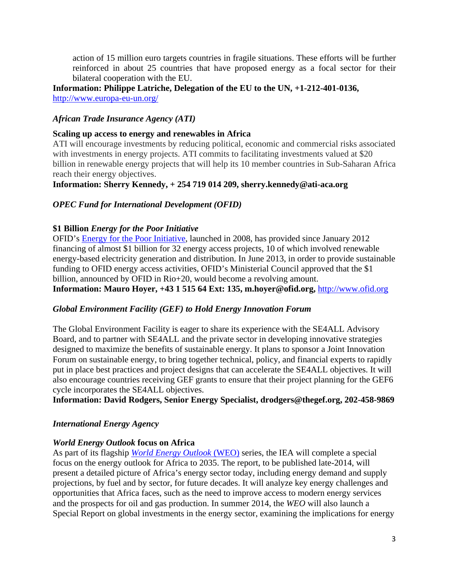action of 15 million euro targets countries in fragile situations. These efforts will be further reinforced in about 25 countries that have proposed energy as a focal sector for their bilateral cooperation with the EU.

**Information: Philippe Latriche, Delegation of the EU to the UN, +1-212-401-0136,**  <http://www.europa-eu-un.org/>

### *African Trade Insurance Agency (ATI)*

#### **Scaling up access to energy and renewables in Africa**

ATI will encourage investments by reducing political, economic and commercial risks associated with investments in energy projects. ATI commits to facilitating investments valued at \$20 billion in renewable energy projects that will help its 10 member countries in Sub-Saharan Africa reach their energy objectives.

#### **Information: Sherry Kennedy, + 254 719 014 209, [sherry.kennedy@ati-aca.org](mailto:sherry.kennedy@ati-aca.org)**

### *OPEC Fund for International Development (OFID)*

### **\$1 Billion** *Energy for the Poor Initiative*

OFID's [Energy for the Poor Initiative,](http://www.ofid.org/NewsPress/tabid/87/ArticleId/1685/Latest-approvals-sharpen-focus-on-energy-poverty-alleviation.aspx) launched in 2008, has provided since January 2012 financing of almost \$1 billion for 32 energy access projects, 10 of which involved renewable energy-based electricity generation and distribution. In June 2013, in order to provide sustainable funding to OFID energy access activities, OFID's Ministerial Council approved that the \$1 billion, announced by OFID in Rio+20, would become a revolving amount. **Information: Mauro Hoyer, +43 1 515 64 Ext: 135, [m.hoyer@ofid.org,](mailto:m.hoyer@ofid.org)** [http://www.ofid.org](http://www.ofid.org/)

#### *Global Environment Facility (GEF) to Hold Energy Innovation Forum*

The Global Environment Facility is eager to share its experience with the SE4ALL Advisory Board, and to partner with SE4ALL and the private sector in developing innovative strategies designed to maximize the benefits of sustainable energy. It plans to sponsor a Joint Innovation Forum on sustainable energy, to bring together technical, policy, and financial experts to rapidly put in place best practices and project designs that can accelerate the SE4ALL objectives. It will also encourage countries receiving GEF grants to ensure that their project planning for the GEF6 cycle incorporates the SE4ALL objectives.

**Information: David Rodgers, Senior Energy Specialist, [drodgers@thegef.org,](mailto:drodgers@thegef.org) 202-458-9869** 

## *International Energy Agency*

## *World Energy Outlook* **focus on Africa**

As part of its flagship *[World Energy Outlook](http://www.worldenergyoutlook.org/)* (WEO) series, the IEA will complete a special focus on the energy outlook for Africa to 2035. The report, to be published late-2014, will present a detailed picture of Africa's energy sector today, including energy demand and supply projections, by fuel and by sector, for future decades. It will analyze key energy challenges and opportunities that Africa faces, such as the need to improve access to modern energy services and the prospects for oil and gas production. In summer 2014, the *WEO* will also launch a Special Report on global investments in the energy sector, examining the implications for energy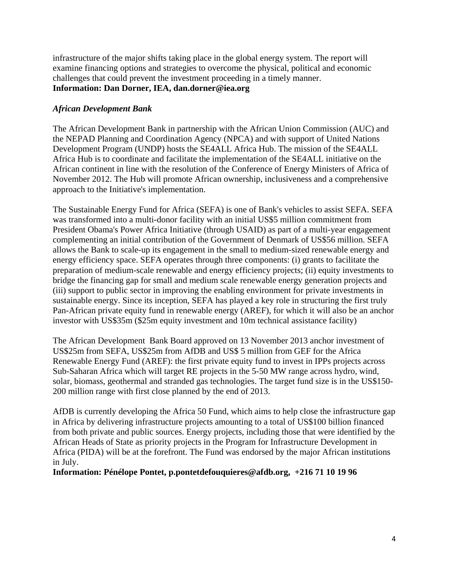infrastructure of the major shifts taking place in the global energy system. The report will examine financing options and strategies to overcome the physical, political and economic challenges that could prevent the investment proceeding in a timely manner. **Information: Dan Dorner, IEA, [dan.dorner@iea.org](mailto:dan.dorner@iea.org)** 

## *African Development Bank*

The African Development Bank in partnership with the African Union Commission (AUC) and the NEPAD Planning and Coordination Agency (NPCA) and with support of United Nations Development Program (UNDP) hosts the SE4ALL Africa Hub. The mission of the SE4ALL Africa Hub is to coordinate and facilitate the implementation of the SE4ALL initiative on the African continent in line with the resolution of the Conference of Energy Ministers of Africa of November 2012. The Hub will promote African ownership, inclusiveness and a comprehensive approach to the Initiative's implementation.

The Sustainable Energy Fund for Africa (SEFA) is one of Bank's vehicles to assist SEFA. SEFA was transformed into a multi-donor facility with an initial US\$5 million commitment from President Obama's Power Africa Initiative (through USAID) as part of a multi-year engagement complementing an initial contribution of the Government of Denmark of US\$56 million. SEFA allows the Bank to scale-up its engagement in the small to medium-sized renewable energy and energy efficiency space. SEFA operates through three components: (i) grants to facilitate the preparation of medium-scale renewable and energy efficiency projects; (ii) equity investments to bridge the financing gap for small and medium scale renewable energy generation projects and (iii) support to public sector in improving the enabling environment for private investments in sustainable energy. Since its inception, SEFA has played a key role in structuring the first truly Pan-African private equity fund in renewable energy (AREF), for which it will also be an anchor investor with US\$35m (\$25m equity investment and 10m technical assistance facility)

The African Development Bank Board approved on 13 November 2013 anchor investment of US\$25m from SEFA, US\$25m from AfDB and US\$ 5 million from GEF for the Africa Renewable Energy Fund (AREF): the first private equity fund to invest in IPPs projects across Sub-Saharan Africa which will target RE projects in the 5-50 MW range across hydro, wind, solar, biomass, geothermal and stranded gas technologies. The target fund size is in the US\$150- 200 million range with first close planned by the end of 2013.

AfDB is currently developing the Africa 50 Fund, which aims to help close the infrastructure gap in Africa by delivering infrastructure projects amounting to a total of US\$100 billion financed from both private and public sources. Energy projects, including those that were identified by the African Heads of State as priority projects in the Program for Infrastructure Development in Africa (PIDA) will be at the forefront. The Fund was endorsed by the major African institutions in July.

**Information: Pénélope Pontet, [p.pontetdefouquieres@afdb.org,](mailto:p.pontetdefouquieres@afdb.org) +216 71 10 19 96**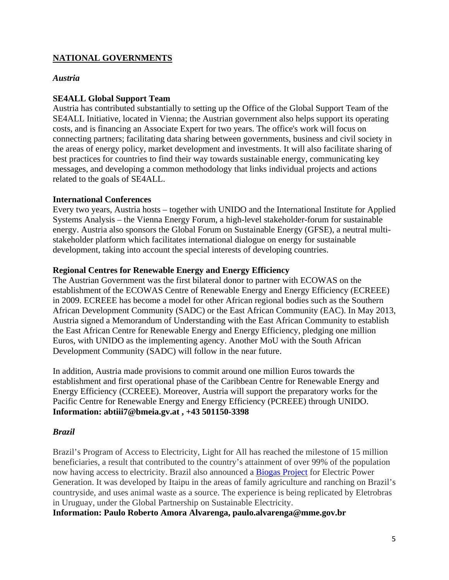# **NATIONAL GOVERNMENTS**

#### *Austria*

## **SE4ALL Global Support Team**

Austria has contributed substantially to setting up the Office of the Global Support Team of the SE4ALL Initiative, located in Vienna; the Austrian government also helps support its operating costs, and is financing an Associate Expert for two years. The office's work will focus on connecting partners; facilitating data sharing between governments, business and civil society in the areas of energy policy, market development and investments. It will also facilitate sharing of best practices for countries to find their way towards sustainable energy, communicating key messages, and developing a common methodology that links individual projects and actions related to the goals of SE4ALL.

#### **International Conferences**

Every two years, Austria hosts – together with UNIDO and the International Institute for Applied Systems Analysis – the Vienna Energy Forum, a high-level stakeholder-forum for sustainable energy. Austria also sponsors the Global Forum on Sustainable Energy (GFSE), a neutral multistakeholder platform which facilitates international dialogue on energy for sustainable development, taking into account the special interests of developing countries.

### **Regional Centres for Renewable Energy and Energy Efficiency**

The Austrian Government was the first bilateral donor to partner with ECOWAS on the establishment of the ECOWAS Centre of Renewable Energy and Energy Efficiency (ECREEE) in 2009. ECREEE has become a model for other African regional bodies such as the Southern African Development Community (SADC) or the East African Community (EAC). In May 2013, Austria signed a Memorandum of Understanding with the East African Community to establish the East African Centre for Renewable Energy and Energy Efficiency, pledging one million Euros, with UNIDO as the implementing agency. Another MoU with the South African Development Community (SADC) will follow in the near future.

In addition, Austria made provisions to commit around one million Euros towards the establishment and first operational phase of the Caribbean Centre for Renewable Energy and Energy Efficiency (CCREEE). Moreover, Austria will support the preparatory works for the Pacific Centre for Renewable Energy and Energy Efficiency (PCREEE) through UNIDO. **Information: [abtiii7@bmeia.gv.at ,](mailto:abtiii7@bmeia.gv.at) +43 501150-3398** 

#### *Brazil*

Brazil's Program of Access to Electricity, Light for All has reached the milestone of 15 million beneficiaries, a result that contributed to the country's attainment of over 99% of the population now having access to electricity. Brazil also announced a [Biogas Project](http://www.itaipu.gov.br/en/press-office/news/biogas-production-model-parana-will-be-replicated-uruguay) for Electric Power Generation. It was developed by Itaipu in the areas of family agriculture and ranching on Brazil's countryside, and uses animal waste as a source. The experience is being replicated by Eletrobras in Uruguay, under the Global Partnership on Sustainable Electricity.

**Information: Paulo Roberto Amora Alvarenga, [paulo.alvarenga@mme.gov.br](mailto:paulo.alvarenga@mme.gov.br)**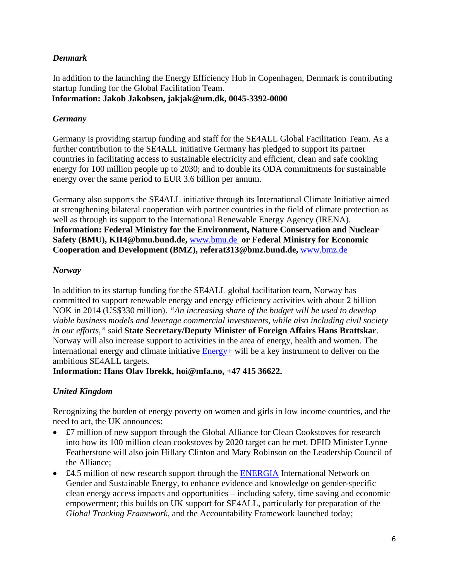# *Denmark*

In addition to the launching the Energy Efficiency Hub in Copenhagen, Denmark is contributing startup funding for the Global Facilitation Team. **Information: Jakob Jakobsen, [jakjak@um.dk,](mailto:jakjak@um.dk) 0045-3392-0000** 

## *Germany*

Germany is providing startup funding and staff for the SE4ALL Global Facilitation Team. As a further contribution to the SE4ALL initiative Germany has pledged to support its partner countries in facilitating access to sustainable electricity and efficient, clean and safe cooking energy for 100 million people up to 2030; and to double its ODA commitments for sustainable energy over the same period to EUR 3.6 billion per annum.

Germany also supports the SE4ALL initiative through its International Climate Initiative aimed at strengthening bilateral cooperation with partner countries in the field of climate protection as well as through its support to the International Renewable Energy Agency (IRENA). **Information: Federal Ministry for the Environment, Nature Conservation and Nuclear Safety (BMU), KII4@bmu.bund.de,** [www.bmu.de](http://www.bmu.de/) **or Federal Ministry for Economic Cooperation and Development (BMZ), referat313@bmz.bund.de,** [www.bmz.de](http://www.bmz.de/)

# *Norway*

In addition to its startup funding for the SE4ALL global facilitation team, Norway has committed to support renewable energy and energy efficiency activities with about 2 billion NOK in 2014 (US\$330 million). *"An increasing share of the budget will be used to develop viable business models and leverage commercial investments, while also including civil society in our efforts,"* said **State Secretary/Deputy Minister of Foreign Affairs Hans Brattskar**. Norway will also increase support to activities in the area of energy, health and women. The international energy and climate initiative [Energy+ w](http://www.regjeringen.no/en/dep/ud/campaigns/energy_plus.html?id=672635)ill be a key instrument to deliver on the ambitious SE4ALL targets.

**Information: Hans Olav Ibrekk, [hoi@mfa.no, +](mailto:hoi@mfa.no)47 415 36622.** 

# *United Kingdom*

Recognizing the burden of energy poverty on women and girls in low income countries, and the need to act, the UK announces:

- £7 million of new support through the Global Alliance for Clean Cookstoves for research into how its 100 million clean cookstoves by 2020 target can be met. DFID Minister Lynne Featherstone will also join Hillary Clinton and Mary Robinson on the Leadership Council of the Alliance;
- £4.5 million of new research support through the [ENERGIA](http://www.energia.org/) International Network on Gender and Sustainable Energy, to enhance evidence and knowledge on gender-specific clean energy access impacts and opportunities – including safety, time saving and economic empowerment; this builds on UK support for SE4ALL, particularly for preparation of the *Global Tracking Framework*, and the Accountability Framework launched today;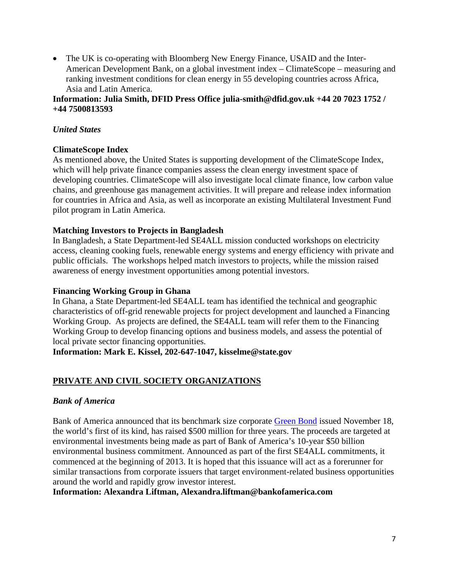• The UK is co-operating with Bloomberg New Energy Finance, USAID and the Inter-American Development Bank, on a global investment index – ClimateScope – measuring and ranking investment conditions for clean energy in 55 developing countries across Africa, Asia and Latin America.

### **Information: Julia Smith, DFID Press Office [julia-smith@dfid.gov.uk +](mailto:julia-smith@dfid.gov.uk)44 20 7023 1752 / +44 7500813593**

## *United States*

# **ClimateScope Index**

As mentioned above, the United States is supporting development of the ClimateScope Index, which will help private finance companies assess the clean energy investment space of developing countries. ClimateScope will also investigate local climate finance, low carbon value chains, and greenhouse gas management activities. It will prepare and release index information for countries in Africa and Asia, as well as incorporate an existing Multilateral Investment Fund pilot program in Latin America.

## **Matching Investors to Projects in Bangladesh**

In Bangladesh, a State Department-led SE4ALL mission conducted workshops on electricity access, cleaning cooking fuels, renewable energy systems and energy efficiency with private and public officials. The workshops helped match investors to projects, while the mission raised awareness of energy investment opportunities among potential investors.

## **Financing Working Group in Ghana**

In Ghana, a State Department-led SE4ALL team has identified the technical and geographic characteristics of off-grid renewable projects for project development and launched a Financing Working Group. As projects are defined, the SE4ALL team will refer them to the Financing Working Group to develop financing options and business models, and assess the potential of local private sector financing opportunities.

**Information: Mark E. Kissel, 202-647-1047, [kisselme@state.gov](mailto:kisselme@state.gov)** 

# **PRIVATE AND CIVIL SOCIETY ORGANIZATIONS**

## *Bank of America*

Bank of America announced that its benchmark size corporate [Green Bond](http://newsroom.bankofamerica.com/press-releases/corporate-and-financial-news/bank-america-issues-500-million-green-bond) issued November 18, the world's first of its kind, has raised \$500 million for three years. The proceeds are targeted at environmental investments being made as part of Bank of America's 10-year \$50 billion environmental business commitment. Announced as part of the first SE4ALL commitments, it commenced at the beginning of 2013. It is hoped that this issuance will act as a forerunner for similar transactions from corporate issuers that target environment-related business opportunities around the world and rapidly grow investor interest.

#### **Information: Alexandra Liftman, [Alexandra.liftman@bankofamerica.com](mailto:Alexandra.liftman@bankofamerica.com)**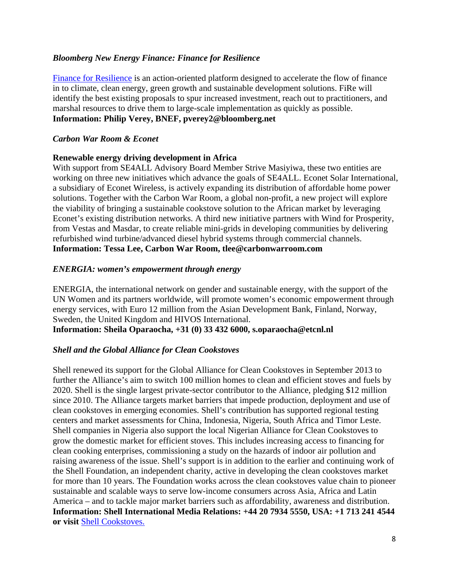### *Bloomberg New Energy Finance: Finance for Resilience*

[Finance for Resilience](http://about.bnef.com/press-releases/private-sector-led-initiative-to-increase-climate-finance-launched-at-global-green-growth-forum-in-copenhagen/) is an action-oriented platform designed to accelerate the flow of finance in to climate, clean energy, green growth and sustainable development solutions. FiRe will identify the best existing proposals to spur increased investment, reach out to practitioners, and marshal resources to drive them to large-scale implementation as quickly as possible. **Information: Philip Verey, BNEF, [pverey2@bloomberg.net](mailto:pverey2@bloomberg.net)** 

#### *Carbon War Room & Econet*

#### **Renewable energy driving development in Africa**

With support from SE4ALL Advisory Board Member Strive Masiyiwa, these two entities are working on three new initiatives which advance the goals of SE4ALL. Econet Solar International, a subsidiary of Econet Wireless, is actively expanding its distribution of affordable home power solutions. Together with the Carbon War Room, a global non-profit, a new project will explore the viability of bringing a sustainable cookstove solution to the African market by leveraging Econet's existing distribution networks. A third new initiative partners with Wind for Prosperity, from Vestas and Masdar, to create reliable mini-grids in developing communities by delivering refurbished wind turbine/advanced diesel hybrid systems through commercial channels. **Information: Tessa Lee, Carbon War Room, [tlee@carbonwarroom.com](mailto:tlee@carbonwarroom.com)** 

#### *ENERGIA: women's empowerment through energy*

ENERGIA, the international network on gender and sustainable energy, with the support of the UN Women and its partners worldwide, will promote women's economic empowerment through energy services, with Euro 12 million from the Asian Development Bank, Finland, Norway, Sweden, the United Kingdom and HIVOS International. **Information: Sheila Oparaocha, +31 (0) 33 432 6000[, s.oparaocha@etcnl.nl](mailto:s.oparaocha@etcnl.nl)** 

#### *Shell and the Global Alliance for Clean Cookstoves*

Shell renewed its support for the Global Alliance for Clean Cookstoves in September 2013 to further the Alliance's aim to switch 100 million homes to clean and efficient stoves and fuels by 2020. Shell is the single largest private-sector contributor to the Alliance, pledging \$12 million since 2010. The Alliance targets market barriers that impede production, deployment and use of clean cookstoves in emerging economies. Shell's contribution has supported regional testing centers and market assessments for China, Indonesia, Nigeria, South Africa and Timor Leste. Shell companies in Nigeria also support the local Nigerian Alliance for Clean Cookstoves to grow the domestic market for efficient stoves. This includes increasing access to financing for clean cooking enterprises, commissioning a study on the hazards of indoor air pollution and raising awareness of the issue. Shell's support is in addition to the earlier and continuing work of the Shell Foundation, an independent charity, active in developing the clean cookstoves market for more than 10 years. The Foundation works across the clean cookstoves value chain to pioneer sustainable and scalable ways to serve low-income consumers across Asia, Africa and Latin America – and to tackle major market barriers such as affordability, awareness and distribution. **Information: Shell International Media Relations: +44 20 7934 5550, USA: +1 713 241 4544 or visit** [Shell Cookstoves.](http://www.shell.com/global/aboutshell/media/news-and-media-releases/2013/shell-renews-support-global-cookstove-alliance.html)